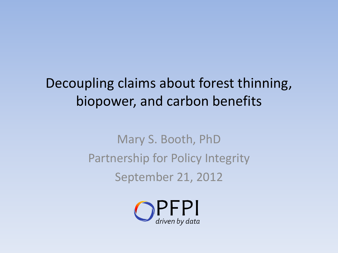## Decoupling claims about forest thinning, biopower, and carbon benefits

Mary S. Booth, PhD Partnership for Policy Integrity September 21, 2012

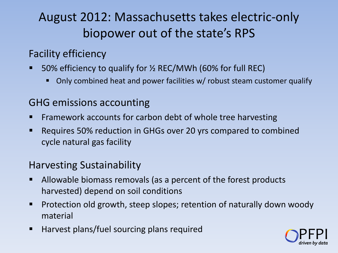### August 2012: Massachusetts takes electric-only biopower out of the state's RPS

### Facility efficiency

- 50% efficiency to qualify for ½ REC/MWh (60% for full REC)
	- Only combined heat and power facilities w/ robust steam customer qualify

### GHG emissions accounting

- Framework accounts for carbon debt of whole tree harvesting
- **EXECT** Requires 50% reduction in GHGs over 20 yrs compared to combined cycle natural gas facility

### Harvesting Sustainability

- Allowable biomass removals (as a percent of the forest products harvested) depend on soil conditions
- Protection old growth, steep slopes; retention of naturally down woody material
- $\blacksquare$  Harvest plans/fuel sourcing plans required

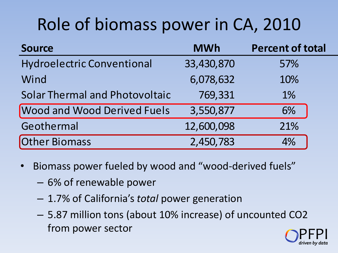# Role of biomass power in CA, 2010

| <b>Source</b>                         | <b>MWh</b> | <b>Percent of total</b> |
|---------------------------------------|------------|-------------------------|
| <b>Hydroelectric Conventional</b>     | 33,430,870 | 57%                     |
| Wind                                  | 6,078,632  | 10%                     |
| <b>Solar Thermal and Photovoltaic</b> | 769,331    | 1%                      |
| <b>Wood and Wood Derived Fuels</b>    | 3,550,877  | 6%                      |
| Geothermal                            | 12,600,098 | 21%                     |
| Other Biomass                         | 2,450,783  | 4%                      |

- Biomass power fueled by wood and "wood-derived fuels"
	- 6% of renewable power
	- 1.7% of California's *total* power generation
	- 5.87 million tons (about 10% increase) of uncounted CO2 from power sector

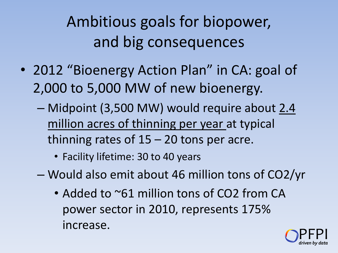# Ambitious goals for biopower, and big consequences

- 2012 "Bioenergy Action Plan" in CA: goal of 2,000 to 5,000 MW of new bioenergy.
	- Midpoint (3,500 MW) would require about 2.4 million acres of thinning per year at typical thinning rates of  $15 - 20$  tons per acre.
		- Facility lifetime: 30 to 40 years
	- Would also emit about 46 million tons of CO2/yr
		- Added to ~61 million tons of CO2 from CA power sector in 2010, represents 175% increase.

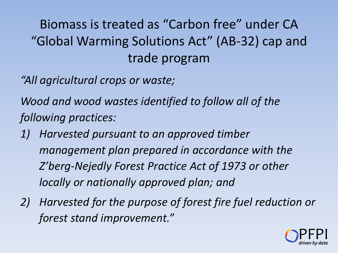## Biomass is treated as "Carbon free" under CA "Global Warming Solutions Act" (AB-32) cap and trade program

*"All agricultural crops or waste;*

*Wood and wood wastes identified to follow all of the following practices:*

- *1) Harvested pursuant to an approved timber management plan prepared in accordance with the Z'berg-Nejedly Forest Practice Act of 1973 or other locally or nationally approved plan; and*
- *2) Harvested for the purpose of forest fire fuel reduction or forest stand improvement."*

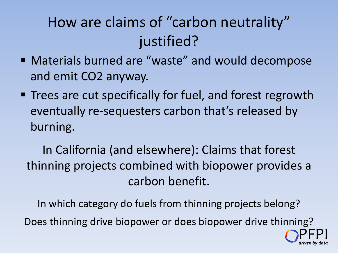## How are claims of "carbon neutrality" justified?

- Materials burned are "waste" and would decompose and emit CO2 anyway.
- Trees are cut specifically for fuel, and forest regrowth eventually re-sequesters carbon that's released by burning.

In California (and elsewhere): Claims that forest thinning projects combined with biopower provides a carbon benefit.

In which category do fuels from thinning projects belong? Does thinning drive biopower or does biopower drive thinning? PFPI

*driven by data*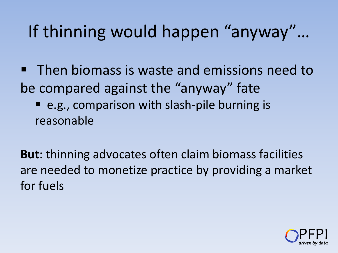# If thinning would happen "anyway"…

- Then biomass is waste and emissions need to be compared against the "anyway" fate e.g., comparison with slash-pile burning is
	- reasonable

**But**: thinning advocates often claim biomass facilities are needed to monetize practice by providing a market for fuels

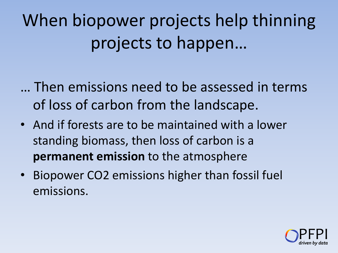When biopower projects help thinning projects to happen…

- … Then emissions need to be assessed in terms of loss of carbon from the landscape.
- And if forests are to be maintained with a lower standing biomass, then loss of carbon is a **permanent emission** to the atmosphere
- Biopower CO2 emissions higher than fossil fuel emissions.

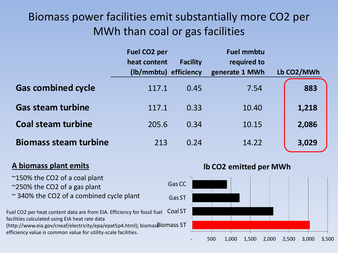### Biomass power facilities emit substantially more CO2 per MWh than coal or gas facilities

|                              | <b>Fuel CO2 per</b>   |                 | <b>Fuel mmbtu</b> |            |
|------------------------------|-----------------------|-----------------|-------------------|------------|
|                              | heat content          | <b>Facility</b> | required to       |            |
|                              | (lb/mmbtu) efficiency |                 | generate 1 MWh    | Lb CO2/MWh |
| <b>Gas combined cycle</b>    | 117.1                 | 0.45            | 7.54              | 883        |
| <b>Gas steam turbine</b>     | 117.1                 | 0.33            | 10.40             | 1,218      |
| <b>Coal steam turbine</b>    | 205.6                 | 0.34            | 10.15             | 2,086      |
| <b>Biomass steam turbine</b> | 213                   | 0.24            | 14.22             | 3,029      |

#### **A biomass plant emits**

~150% the CO2 of a coal plant ~250% the CO2 of a gas plant ~ 340% the CO2 of a combined cycle plant Fuel CO2 per heat content data are from EIA. Efficiency for fossil fuel facilities calculated using EIA heat rate data (http://www.eia.gov/cneaf/electricity/epa/epat5p4.html); biomasBiOMass ST efficiency value is common value for utility-scale facilities. Coal ST Gas ST Gas CC

#### **lb CO2 emitted per MWh**

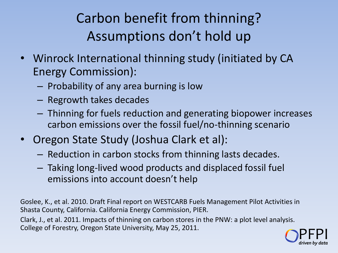## Carbon benefit from thinning? Assumptions don't hold up

- Winrock International thinning study (initiated by CA Energy Commission):
	- Probability of any area burning is low
	- Regrowth takes decades
	- Thinning for fuels reduction and generating biopower increases carbon emissions over the fossil fuel/no-thinning scenario
- Oregon State Study (Joshua Clark et al):
	- Reduction in carbon stocks from thinning lasts decades.
	- Taking long-lived wood products and displaced fossil fuel emissions into account doesn't help

Goslee, K., et al. 2010. Draft Final report on WESTCARB Fuels Management Pilot Activities in Shasta County, California. California Energy Commission, PIER.

Clark, J., et al. 2011. Impacts of thinning on carbon stores in the PNW: a plot level analysis. College of Forestry, Oregon State University, May 25, 2011.

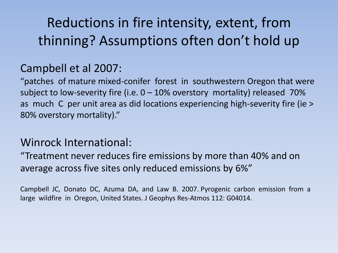## Reductions in fire intensity, extent, from thinning? Assumptions often don't hold up

### Campbell et al 2007:

"patches of mature mixed-conifer forest in southwestern Oregon that were subject to low-severity fire (i.e.  $0 - 10\%$  overstory mortality) released 70% as much C per unit area as did locations experiencing high-severity fire (ie > 80% overstory mortality)."

### Winrock International:

"Treatment never reduces fire emissions by more than 40% and on average across five sites only reduced emissions by 6%"

Campbell JC, Donato DC, Azuma DA, and Law B. 2007. Pyrogenic carbon emission from a large wildfire in Oregon, United States. J Geophys Res-Atmos 112: G04014.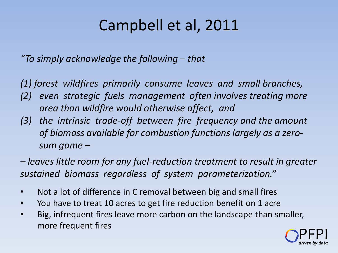## Campbell et al, 2011

*"To simply acknowledge the following – that*

*(1) forest wildfires primarily consume leaves and small branches,* 

- *(2) even strategic fuels management often involves treating more area than wildfire would otherwise affect, and*
- *(3) the intrinsic trade-off between fire frequency and the amount of biomass available for combustion functions largely as a zerosum game –*

*– leaves little room for any fuel-reduction treatment to result in greater sustained biomass regardless of system parameterization."*

- Not a lot of difference in C removal between big and small fires
- You have to treat 10 acres to get fire reduction benefit on 1 acre
- Big, infrequent fires leave more carbon on the landscape than smaller, more frequent fires

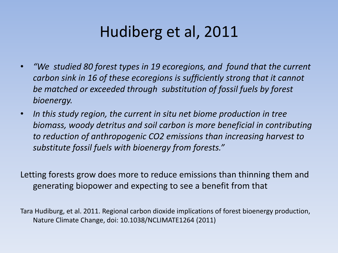## Hudiberg et al, 2011

- *"We studied 80 forest types in 19 ecoregions, and found that the current carbon sink in 16 of these ecoregions is sufficiently strong that it cannot be matched or exceeded through substitution of fossil fuels by forest bioenergy.*
- *In this study region, the current in situ net biome production in tree biomass, woody detritus and soil carbon is more beneficial in contributing to reduction of anthropogenic CO2 emissions than increasing harvest to substitute fossil fuels with bioenergy from forests."*

Letting forests grow does more to reduce emissions than thinning them and generating biopower and expecting to see a benefit from that

Tara Hudiburg, et al. 2011. Regional carbon dioxide implications of forest bioenergy production, Nature Climate Change, doi: 10.1038/NCLIMATE1264 (2011)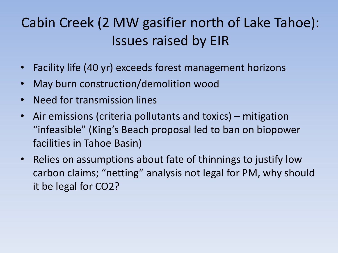## Cabin Creek (2 MW gasifier north of Lake Tahoe): Issues raised by EIR

- Facility life (40 yr) exceeds forest management horizons
- May burn construction/demolition wood
- Need for transmission lines
- Air emissions (criteria pollutants and toxics) mitigation "infeasible" (King's Beach proposal led to ban on biopower facilities in Tahoe Basin)
- Relies on assumptions about fate of thinnings to justify low carbon claims; "netting" analysis not legal for PM, why should it be legal for CO2?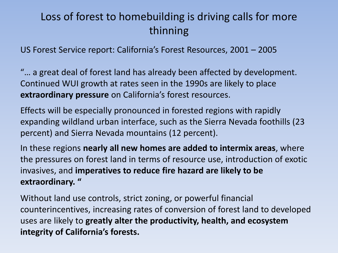### Loss of forest to homebuilding is driving calls for more thinning

US Forest Service report: California's Forest Resources, 2001 – 2005

"… a great deal of forest land has already been affected by development. Continued WUI growth at rates seen in the 1990s are likely to place **extraordinary pressure** on California's forest resources.

Effects will be especially pronounced in forested regions with rapidly expanding wildland urban interface, such as the Sierra Nevada foothills (23 percent) and Sierra Nevada mountains (12 percent).

In these regions **nearly all new homes are added to intermix areas**, where the pressures on forest land in terms of resource use, introduction of exotic invasives, and **imperatives to reduce fire hazard are likely to be extraordinary. "**

Without land use controls, strict zoning, or powerful financial counterincentives, increasing rates of conversion of forest land to developed uses are likely to **greatly alter the productivity, health, and ecosystem integrity of California's forests.**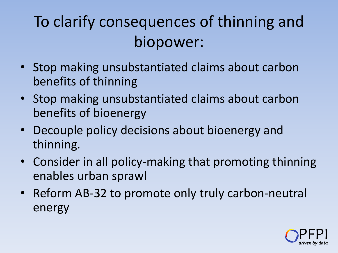# To clarify consequences of thinning and biopower:

- Stop making unsubstantiated claims about carbon benefits of thinning
- Stop making unsubstantiated claims about carbon benefits of bioenergy
- Decouple policy decisions about bioenergy and thinning.
- Consider in all policy-making that promoting thinning enables urban sprawl
- Reform AB-32 to promote only truly carbon-neutral energy